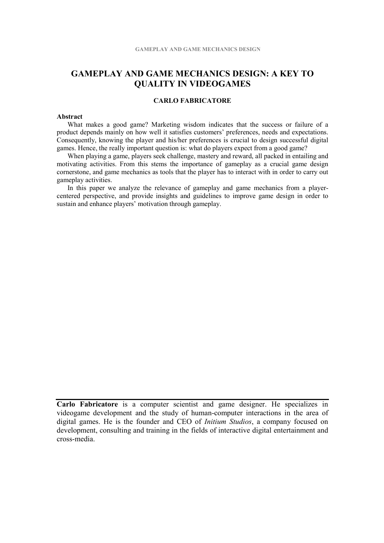# **GAMEPLAY AND GAME MECHANICS DESIGN: A KEY TO QUALITY IN VIDEOGAMES**

## **CARLO FABRICATORE**

## **Abstract**

What makes a good game? Marketing wisdom indicates that the success or failure of a product depends mainly on how well it satisfies customers' preferences, needs and expectations. Consequently, knowing the player and his/her preferences is crucial to design successful digital games. Hence, the really important question is: what do players expect from a good game?

When playing a game, players seek challenge, mastery and reward, all packed in entailing and motivating activities. From this stems the importance of gameplay as a crucial game design cornerstone, and game mechanics as tools that the player has to interact with in order to carry out gameplay activities.

In this paper we analyze the relevance of gameplay and game mechanics from a playercentered perspective, and provide insights and guidelines to improve game design in order to sustain and enhance players' motivation through gameplay.

**Carlo Fabricatore** is a computer scientist and game designer. He specializes in videogame development and the study of human-computer interactions in the area of digital games. He is the founder and CEO of *Initium Studios*, a company focused on development, consulting and training in the fields of interactive digital entertainment and cross-media.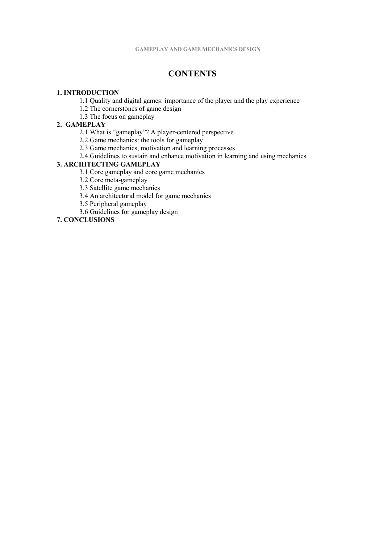# **CONTENTS**

## **1. INTRODUCTION**

- 1.1 Quality and digital games: importance of the player and the play experience
- 1.2 The cornerstones of game design
- 1.3 The focus on gameplay

# **2. GAMEPLAY**

- 2.1 What is "gameplay"? A player-centered perspective
- 2.2 Game mechanics: the tools for gameplay
- 2.3 Game mechanics, motivation and learning processes
- 2.4 Guidelines to sustain and enhance motivation in learning and using mechanics

## **3. ARCHITECTING GAMEPLAY**

- 3.1 Core gameplay and core game mechanics
- 3.2 Core meta-gameplay
- 3.3 Satellite game mechanics
- 3.4 An architectural model for game mechanics
- 3.5 Peripheral gameplay
- 3.6 Guidelines for gameplay design

# **7. CONCLUSIONS**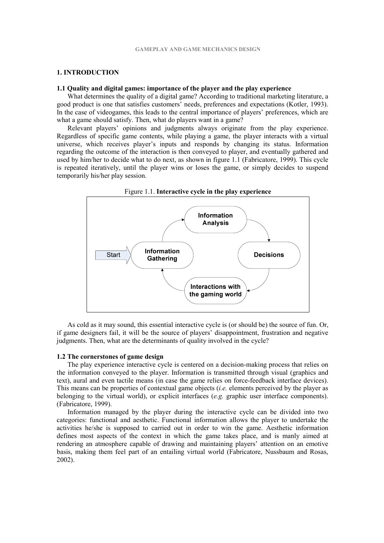#### **1. INTRODUCTION**

## **1.1 Quality and digital games: importance of the player and the play experience**

What determines the quality of a digital game? According to traditional marketing literature, a good product is one that satisfies customers' needs, preferences and expectations (Kotler, 1993). In the case of videogames, this leads to the central importance of players' preferences, which are what a game should satisfy. Then, what do players want in a game?

Relevant players' opinions and judgments always originate from the play experience. Regardless of specific game contents, while playing a game, the player interacts with a virtual universe, which receives player's inputs and responds by changing its status. Information regarding the outcome of the interaction is then conveyed to player, and eventually gathered and used by him/her to decide what to do next, as shown in figure 1.1 (Fabricatore, 1999). This cycle is repeated iteratively, until the player wins or loses the game, or simply decides to suspend temporarily his/her play session.



As cold as it may sound, this essential interactive cycle is (or should be) the source of fun. Or, if game designers fail, it will be the source of players' disappointment, frustration and negative judgments. Then, what are the determinants of quality involved in the cycle?

## **1.2 The cornerstones of game design**

The play experience interactive cycle is centered on a decision-making process that relies on the information conveyed to the player. Information is transmitted through visual (graphics and text), aural and even tactile means (in case the game relies on force-feedback interface devices). This means can be properties of contextual game objects (*i.e.* elements perceived by the player as belonging to the virtual world), or explicit interfaces (*e.g.* graphic user interface components). (Fabricatore, 1999).

Information managed by the player during the interactive cycle can be divided into two categories: functional and aesthetic. Functional information allows the player to undertake the activities he/she is supposed to carried out in order to win the game. Aesthetic information defines most aspects of the context in which the game takes place, and is manly aimed at rendering an atmosphere capable of drawing and maintaining players' attention on an emotive basis, making them feel part of an entailing virtual world (Fabricatore, Nussbaum and Rosas, 2002).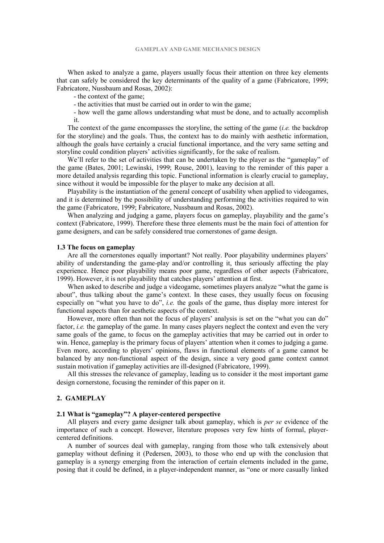When asked to analyze a game, players usually focus their attention on three key elements that can safely be considered the key determinants of the quality of a game (Fabricatore, 1999; Fabricatore, Nussbaum and Rosas, 2002):

- the context of the game;

- the activities that must be carried out in order to win the game;

- how well the game allows understanding what must be done, and to actually accomplish it.

The context of the game encompasses the storyline, the setting of the game (*i.e.* the backdrop for the storyline) and the goals. Thus, the context has to do mainly with aesthetic information, although the goals have certainly a crucial functional importance, and the very same setting and storyline could condition players' activities significantly, for the sake of realism.

We'll refer to the set of activities that can be undertaken by the player as the "gameplay" of the game (Bates, 2001; Lewinski, 1999; Rouse, 2001), leaving to the reminder of this paper a more detailed analysis regarding this topic. Functional information is clearly crucial to gameplay, since without it would be impossible for the player to make any decision at all.

Playability is the instantiation of the general concept of usability when applied to videogames, and it is determined by the possibility of understanding performing the activities required to win the game (Fabricatore, 1999; Fabricatore, Nussbaum and Rosas, 2002).

When analyzing and judging a game, players focus on gameplay, playability and the game's context (Fabricatore, 1999). Therefore these three elements must be the main foci of attention for game designers, and can be safely considered true cornerstones of game design.

#### **1.3 The focus on gameplay**

Are all the cornerstones equally important? Not really. Poor playability undermines players' ability of understanding the game-play and/or controlling it, thus seriously affecting the play experience. Hence poor playability means poor game, regardless of other aspects (Fabricatore, 1999). However, it is not playability that catches players' attention at first.

When asked to describe and judge a videogame, sometimes players analyze "what the game is about", thus talking about the game's context. In these cases, they usually focus on focusing especially on "what you have to do", *i.e.* the goals of the game, thus display more interest for functional aspects than for aesthetic aspects of the context.

However, more often than not the focus of players' analysis is set on the "what you can do" factor, *i.e.* the gameplay of the game. In many cases players neglect the context and even the very same goals of the game, to focus on the gameplay activities that may be carried out in order to win. Hence, gameplay is the primary focus of players' attention when it comes to judging a game. Even more, according to players' opinions, flaws in functional elements of a game cannot be balanced by any non-functional aspect of the design, since a very good game context cannot sustain motivation if gameplay activities are ill-designed (Fabricatore, 1999).

All this stresses the relevance of gameplay, leading us to consider it the most important game design cornerstone, focusing the reminder of this paper on it.

#### **2. GAMEPLAY**

#### **2.1 What is "gameplay"? A player-centered perspective**

All players and every game designer talk about gameplay, which is *per se* evidence of the importance of such a concept. However, literature proposes very few hints of formal, playercentered definitions.

A number of sources deal with gameplay, ranging from those who talk extensively about gameplay without defining it (Pedersen, 2003), to those who end up with the conclusion that gameplay is a synergy emerging from the interaction of certain elements included in the game, posing that it could be defined, in a player-independent manner, as "one or more casually linked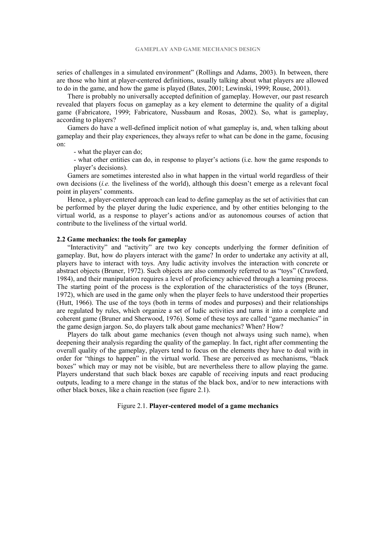series of challenges in a simulated environment" (Rollings and Adams, 2003). In between, there are those who hint at player-centered definitions, usually talking about what players are allowed to do in the game, and how the game is played (Bates, 2001; Lewinski, 1999; Rouse, 2001).

There is probably no universally accepted definition of gameplay. However, our past research revealed that players focus on gameplay as a key element to determine the quality of a digital game (Fabricatore, 1999; Fabricatore, Nussbaum and Rosas, 2002). So, what is gameplay, according to players?

Gamers do have a well-defined implicit notion of what gameplay is, and, when talking about gameplay and their play experiences, they always refer to what can be done in the game, focusing on:

- what the player can do;

- what other entities can do, in response to player's actions (i.e. how the game responds to player's decisions).

Gamers are sometimes interested also in what happen in the virtual world regardless of their own decisions (*i.e.* the liveliness of the world), although this doesn't emerge as a relevant focal point in players' comments.

Hence, a player-centered approach can lead to define gameplay as the set of activities that can be performed by the player during the ludic experience, and by other entities belonging to the virtual world, as a response to player's actions and/or as autonomous courses of action that contribute to the liveliness of the virtual world.

# **2.2 Game mechanics: the tools for gameplay**

"Interactivity" and "activity" are two key concepts underlying the former definition of gameplay. But, how do players interact with the game? In order to undertake any activity at all, players have to interact with toys. Any ludic activity involves the interaction with concrete or abstract objects (Bruner, 1972). Such objects are also commonly referred to as "toys" (Crawford, 1984), and their manipulation requires a level of proficiency achieved through a learning process. The starting point of the process is the exploration of the characteristics of the toys (Bruner, 1972), which are used in the game only when the player feels to have understood their properties (Hutt, 1966). The use of the toys (both in terms of modes and purposes) and their relationships are regulated by rules, which organize a set of ludic activities and turns it into a complete and coherent game (Bruner and Sherwood, 1976). Some of these toys are called "game mechanics" in the game design jargon. So, do players talk about game mechanics? When? How?

Players do talk about game mechanics (even though not always using such name), when deepening their analysis regarding the quality of the gameplay. In fact, right after commenting the overall quality of the gameplay, players tend to focus on the elements they have to deal with in order for "things to happen" in the virtual world. These are perceived as mechanisms, "black boxes" which may or may not be visible, but are nevertheless there to allow playing the game. Players understand that such black boxes are capable of receiving inputs and react producing outputs, leading to a mere change in the status of the black box, and/or to new interactions with other black boxes, like a chain reaction (see figure 2.1).

Figure 2.1. **Player-centered model of a game mechanics**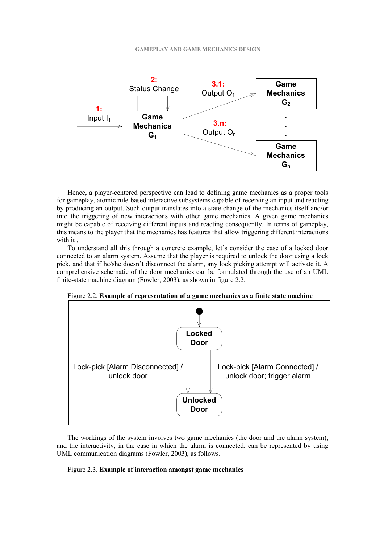

Hence, a player-centered perspective can lead to defining game mechanics as a proper tools for gameplay, atomic rule-based interactive subsystems capable of receiving an input and reacting by producing an output. Such output translates into a state change of the mechanics itself and/or into the triggering of new interactions with other game mechanics. A given game mechanics might be capable of receiving different inputs and reacting consequently. In terms of gameplay, this means to the player that the mechanics has features that allow triggering different interactions with it

To understand all this through a concrete example, let's consider the case of a locked door connected to an alarm system. Assume that the player is required to unlock the door using a lock pick, and that if he/she doesn't disconnect the alarm, any lock picking attempt will activate it. A comprehensive schematic of the door mechanics can be formulated through the use of an UML finite-state machine diagram (Fowler, 2003), as shown in figure 2.2.

Figure 2.2. **Example of representation of a game mechanics as a finite state machine** 



The workings of the system involves two game mechanics (the door and the alarm system), and the interactivity, in the case in which the alarm is connected, can be represented by using UML communication diagrams (Fowler, 2003), as follows.

# Figure 2.3. **Example of interaction amongst game mechanics**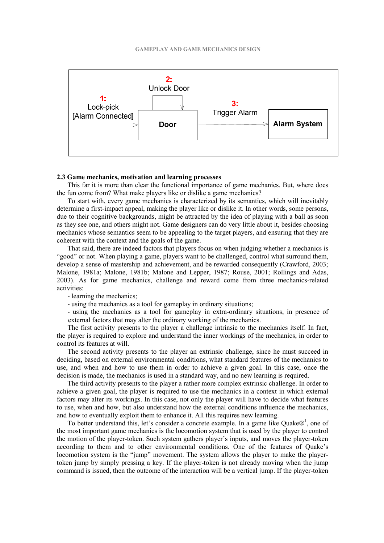

## **2.3 Game mechanics, motivation and learning processes**

This far it is more than clear the functional importance of game mechanics. But, where does the fun come from? What make players like or dislike a game mechanics?

To start with, every game mechanics is characterized by its semantics, which will inevitably determine a first-impact appeal, making the player like or dislike it. In other words, some persons, due to their cognitive backgrounds, might be attracted by the idea of playing with a ball as soon as they see one, and others might not. Game designers can do very little about it, besides choosing mechanics whose semantics seem to be appealing to the target players, and ensuring that they are coherent with the context and the goals of the game.

That said, there are indeed factors that players focus on when judging whether a mechanics is "good" or not. When playing a game, players want to be challenged, control what surround them, develop a sense of mastership and achievement, and be rewarded consequently (Crawford, 2003; Malone, 1981a; Malone, 1981b; Malone and Lepper, 1987; Rouse, 2001; Rollings and Adas, 2003). As for game mechanics, challenge and reward come from three mechanics-related activities:

- learning the mechanics;

- using the mechanics as a tool for gameplay in ordinary situations;

- using the mechanics as a tool for gameplay in extra-ordinary situations, in presence of external factors that may alter the ordinary working of the mechanics.

The first activity presents to the player a challenge intrinsic to the mechanics itself. In fact, the player is required to explore and understand the inner workings of the mechanics, in order to control its features at will.

The second activity presents to the player an extrinsic challenge, since he must succeed in deciding, based on external environmental conditions, what standard features of the mechanics to use, and when and how to use them in order to achieve a given goal. In this case, once the decision is made, the mechanics is used in a standard way, and no new learning is required.

The third activity presents to the player a rather more complex extrinsic challenge. In order to achieve a given goal, the player is required to use the mechanics in a context in which external factors may alter its workings. In this case, not only the player will have to decide what features to use, when and how, but also understand how the external conditions influence the mechanics, and how to eventually exploit them to enhance it. All this requires new learning.

To better understand this, let's consider a concrete example. In a game like Quake $\mathbb{D}^1$ , one of the most important game mechanics is the locomotion system that is used by the player to control the motion of the player-token. Such system gathers player's inputs, and moves the player-token according to them and to other environmental conditions. One of the features of Quake's locomotion system is the "jump" movement. The system allows the player to make the playertoken jump by simply pressing a key. If the player-token is not already moving when the jump command is issued, then the outcome of the interaction will be a vertical jump. If the player-token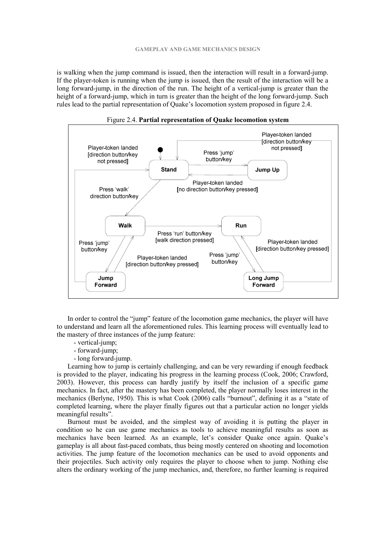is walking when the jump command is issued, then the interaction will result in a forward-jump. If the player-token is running when the jump is issued, then the result of the interaction will be a long forward-jump, in the direction of the run. The height of a vertical-jump is greater than the height of a forward-jump, which in turn is greater than the height of the long forward-jump. Such rules lead to the partial representation of Quake's locomotion system proposed in figure 2.4.





In order to control the "jump" feature of the locomotion game mechanics, the player will have to understand and learn all the aforementioned rules. This learning process will eventually lead to the mastery of three instances of the jump feature:

- vertical-jump;
- forward-jump;
- long forward-jump.

Learning how to jump is certainly challenging, and can be very rewarding if enough feedback is provided to the player, indicating his progress in the learning process (Cook, 2006; Crawford, 2003). However, this process can hardly justify by itself the inclusion of a specific game mechanics. In fact, after the mastery has been completed, the player normally loses interest in the mechanics (Berlyne, 1950). This is what Cook (2006) calls "burnout", defining it as a "state of completed learning, where the player finally figures out that a particular action no longer yields meaningful results".

Burnout must be avoided, and the simplest way of avoiding it is putting the player in condition so he can use game mechanics as tools to achieve meaningful results as soon as mechanics have been learned. As an example, let's consider Quake once again. Quake's gameplay is all about fast-paced combats, thus being mostly centered on shooting and locomotion activities. The jump feature of the locomotion mechanics can be used to avoid opponents and their projectiles. Such activity only requires the player to choose when to jump. Nothing else alters the ordinary working of the jump mechanics, and, therefore, no further learning is required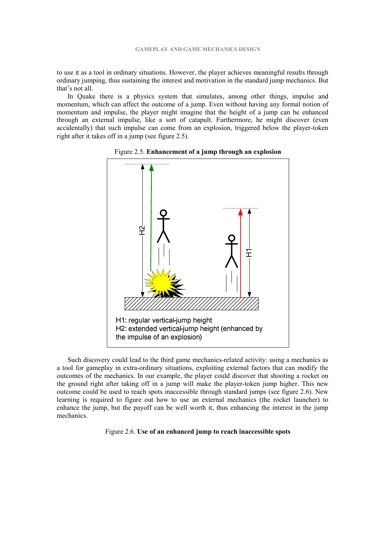to use it as a tool in ordinary situations. However, the player achieves meaningful results through ordinary jumping, thus sustaining the interest and motivation in the standard jump mechanics. But that's not all.

In Quake there is a physics system that simulates, among other things, impulse and momentum, which can affect the outcome of a jump. Even without having any formal notion of momentum and impulse, the player might imagine that the height of a jump can be enhanced through an external impulse, like a sort of catapult. Furthermore, he might discover (even accidentally) that such impulse can come from an explosion, triggered below the player-token right after it takes off in a jump (see figure 2.5).



Figure 2.5. **Enhancement of a jump through an explosion** 

Such discovery could lead to the third game mechanics-related activity: using a mechanics as a tool for gameplay in extra-ordinary situations, exploiting external factors that can modify the outcomes of the mechanics. In our example, the player could discover that shooting a rocket on the ground right after taking off in a jump will make the player-token jump higher. This new outcome could be used to reach spots inaccessible through standard jumps (see figure 2.6). New learning is required to figure out how to use an external mechanics (the rocket launcher) to enhance the jump, but the payoff can be well worth it, thus enhancing the interest in the jump mechanics.

#### Figure 2.6. **Use of an enhanced jump to reach inaccessible spots**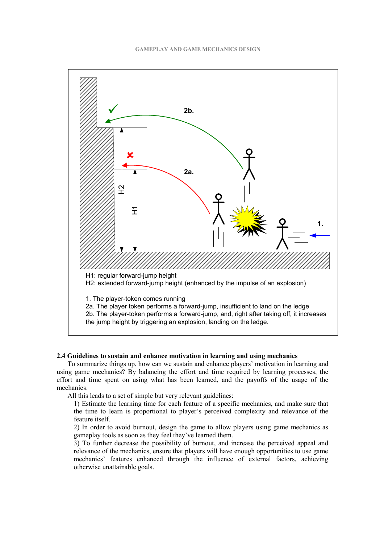

## **2.4 Guidelines to sustain and enhance motivation in learning and using mechanics**

To summarize things up, how can we sustain and enhance players' motivation in learning and using game mechanics? By balancing the effort and time required by learning processes, the effort and time spent on using what has been learned, and the payoffs of the usage of the mechanics.

All this leads to a set of simple but very relevant guidelines:

1) Estimate the learning time for each feature of a specific mechanics, and make sure that the time to learn is proportional to player's perceived complexity and relevance of the feature itself.

2) In order to avoid burnout, design the game to allow players using game mechanics as gameplay tools as soon as they feel they've learned them.

3) To further decrease the possibility of burnout, and increase the perceived appeal and relevance of the mechanics, ensure that players will have enough opportunities to use game mechanics' features enhanced through the influence of external factors, achieving otherwise unattainable goals.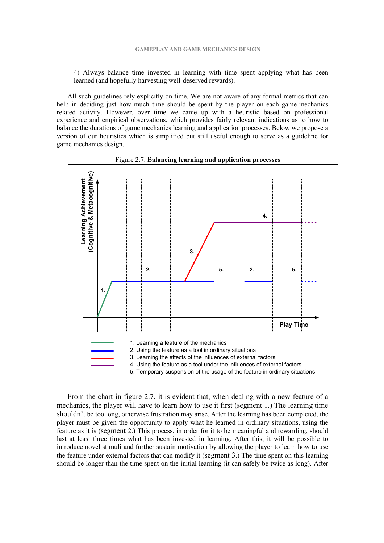4) Always balance time invested in learning with time spent applying what has been learned (and hopefully harvesting well-deserved rewards).

All such guidelines rely explicitly on time. We are not aware of any formal metrics that can help in deciding just how much time should be spent by the player on each game-mechanics related activity. However, over time we came up with a heuristic based on professional experience and empirical observations, which provides fairly relevant indications as to how to balance the durations of game mechanics learning and application processes. Below we propose a version of our heuristics which is simplified but still useful enough to serve as a guideline for game mechanics design.



Figure 2.7. B**alancing learning and application processes** 

From the chart in figure 2.7, it is evident that, when dealing with a new feature of a mechanics, the player will have to learn how to use it first (segment 1.) The learning time shouldn't be too long, otherwise frustration may arise. After the learning has been completed, the player must be given the opportunity to apply what he learned in ordinary situations, using the feature as it is (segment 2.) This process, in order for it to be meaningful and rewarding, should last at least three times what has been invested in learning. After this, it will be possible to introduce novel stimuli and further sustain motivation by allowing the player to learn how to use the feature under external factors that can modify it (segment 3.) The time spent on this learning should be longer than the time spent on the initial learning (it can safely be twice as long). After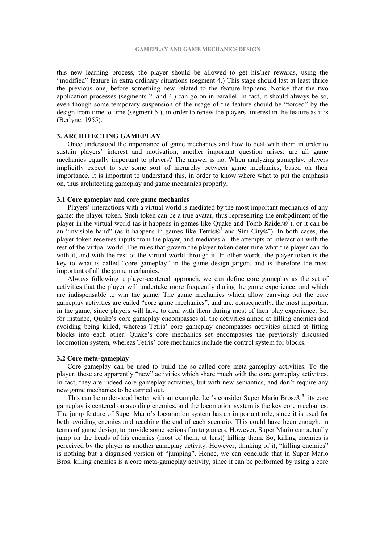this new learning process, the player should be allowed to get his/her rewards, using the "modified" feature in extra-ordinary situations (segment 4.) This stage should last at least thrice the previous one, before something new related to the feature happens. Notice that the two application processes (segments 2. and 4.) can go on in parallel. In fact, it should always be so, even though some temporary suspension of the usage of the feature should be "forced" by the design from time to time (segment 5.), in order to renew the players' interest in the feature as it is (Berlyne, 1955).

#### **3. ARCHITECTING GAMEPLAY**

Once understood the importance of game mechanics and how to deal with them in order to sustain players' interest and motivation, another important question arises: are all game mechanics equally important to players? The answer is no. When analyzing gameplay, players implicitly expect to see some sort of hierarchy between game mechanics, based on their importance. It is important to understand this, in order to know where what to put the emphasis on, thus architecting gameplay and game mechanics properly.

#### **3.1 Core gameplay and core game mechanics**

Players' interactions with a virtual world is mediated by the most important mechanics of any game: the player-token. Such token can be a true avatar, thus representing the embodiment of the player in the virtual world (as it happens in games like Quake and Tomb Raider $\mathbb{R}^2$ ), or it can be an "invisible hand" (as it happens in games like Tetris $\mathbb{B}^3$  and Sim City $\mathbb{B}^4$ ). In both cases, the player-token receives inputs from the player, and mediates all the attempts of interaction with the rest of the virtual world. The rules that govern the player token determine what the player can do with it, and with the rest of the virtual world through it. In other words, the player-token is the key to what is called "core gameplay" in the game design jargon, and is therefore the most important of all the game mechanics.

Always following a player-centered approach, we can define core gameplay as the set of activities that the player will undertake more frequently during the game experience, and which are indispensable to win the game. The game mechanics which allow carrying out the core gameplay activities are called "core game mechanics", and are, consequently, the most important in the game, since players will have to deal with them during most of their play experience. So, for instance, Quake's core gameplay encompasses all the activities aimed at killing enemies and avoiding being killed, whereas Tetris' core gameplay encompasses activities aimed at fitting blocks into each other. Quake's core mechanics set encompasses the previously discussed locomotion system, whereas Tetris' core mechanics include the control system for blocks.

#### **3.2 Core meta-gameplay**

Core gameplay can be used to build the so-called core meta-gameplay activities. To the player, these are apparently "new" activities which share much with the core gameplay activities. In fact, they are indeed core gameplay activities, but with new semantics, and don't require any new game mechanics to be carried out.

This can be understood better with an example. Let's consider Super Mario Bros. $\mathbb{R}^5$ : its core gameplay is centered on avoiding enemies, and the locomotion system is the key core mechanics. The jump feature of Super Mario's locomotion system has an important role, since it is used for both avoiding enemies and reaching the end of each scenario. This could have been enough, in terms of game design, to provide some serious fun to gamers. However, Super Mario can actually jump on the heads of his enemies (most of them, at least) killing them. So, killing enemies is perceived by the player as another gameplay activity. However, thinking of it, "killing enemies" is nothing but a disguised version of "jumping". Hence, we can conclude that in Super Mario Bros. killing enemies is a core meta-gameplay activity, since it can be performed by using a core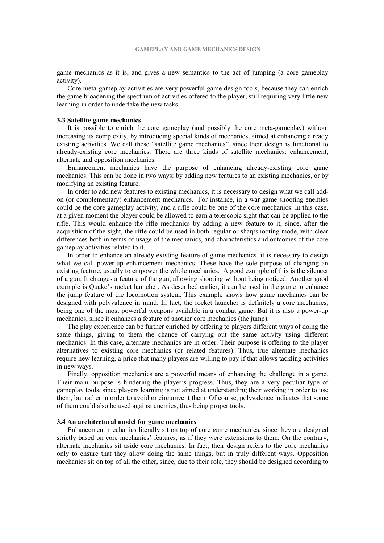game mechanics as it is, and gives a new semantics to the act of jumping (a core gameplay activity).

Core meta-gameplay activities are very powerful game design tools, because they can enrich the game broadening the spectrum of activities offered to the player, still requiring very little new learning in order to undertake the new tasks.

#### **3.3 Satellite game mechanics**

It is possible to enrich the core gameplay (and possibly the core meta-gameplay) without increasing its complexity, by introducing special kinds of mechanics, aimed at enhancing already existing activities. We call these "satellite game mechanics", since their design is functional to already-existing core mechanics. There are three kinds of satellite mechanics: enhancement, alternate and opposition mechanics.

Enhancement mechanics have the purpose of enhancing already-existing core game mechanics. This can be done in two ways: by adding new features to an existing mechanics, or by modifying an existing feature.

In order to add new features to existing mechanics, it is necessary to design what we call addon (or complementary) enhancement mechanics. For instance, in a war game shooting enemies could be the core gameplay activity, and a rifle could be one of the core mechanics. In this case, at a given moment the player could be allowed to earn a telescopic sight that can be applied to the rifle. This would enhance the rifle mechanics by adding a new feature to it, since, after the acquisition of the sight, the rifle could be used in both regular or sharpshooting mode, with clear differences both in terms of usage of the mechanics, and characteristics and outcomes of the core gameplay activities related to it.

In order to enhance an already existing feature of game mechanics, it is necessary to design what we call power-up enhancement mechanics. These have the sole purpose of changing an existing feature, usually to empower the whole mechanics. A good example of this is the silencer of a gun. It changes a feature of the gun, allowing shooting without being noticed. Another good example is Quake's rocket launcher. As described earlier, it can be used in the game to enhance the jump feature of the locomotion system. This example shows how game mechanics can be designed with polyvalence in mind. In fact, the rocket launcher is definitely a core mechanics, being one of the most powerful weapons available in a combat game. But it is also a power-up mechanics, since it enhances a feature of another core mechanics (the jump).

The play experience can be further enriched by offering to players different ways of doing the same things, giving to them the chance of carrying out the same activity using different mechanics. In this case, alternate mechanics are in order. Their purpose is offering to the player alternatives to existing core mechanics (or related features). Thus, true alternate mechanics require new learning, a price that many players are willing to pay if that allows tackling activities in new ways.

Finally, opposition mechanics are a powerful means of enhancing the challenge in a game. Their main purpose is hindering the player's progress. Thus, they are a very peculiar type of gameplay tools, since players learning is not aimed at understanding their working in order to use them, but rather in order to avoid or circumvent them. Of course, polyvalence indicates that some of them could also be used against enemies, thus being proper tools.

#### **3.4 An architectural model for game mechanics**

Enhancement mechanics literally sit on top of core game mechanics, since they are designed strictly based on core mechanics' features, as if they were extensions to them. On the contrary, alternate mechanics sit aside core mechanics. In fact, their design refers to the core mechanics only to ensure that they allow doing the same things, but in truly different ways. Opposition mechanics sit on top of all the other, since, due to their role, they should be designed according to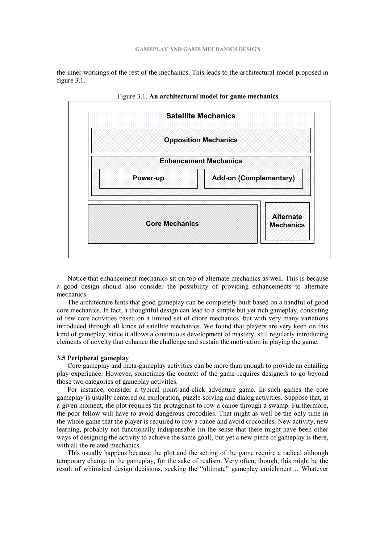the inner workings of the rest of the mechanics. This leads to the architectural model proposed in figure 3.1.



Figure 3.1. **An architectural model for game mechanics** 

Notice that enhancement mechanics sit on top of alternate mechanics as well. This is because a good design should also consider the possibility of providing enhancements to alternate mechanics.

The architecture hints that good gameplay can be completely built based on a handful of good core mechanics. In fact, a thoughtful design can lead to a simple but yet rich gameplay, consisting of few core activities based on a limited set of chore mechanics, but with very many variations introduced through all kinds of satellite mechanics. We found that players are very keen on this kind of gameplay, since it allows a continuous development of mastery, still regularly introducing elements of novelty that enhance the challenge and sustain the motivation in playing the game.

#### **3.5 Peripheral gameplay**

Core gameplay and meta-gameplay activities can be more than enough to provide an entailing play experience. However, sometimes the context of the game requires designers to go beyond those two categories of gameplay activities.

For instance, consider a typical point-and-click adventure game. In such games the core gameplay is usually centered on exploration, puzzle-solving and dialog activities. Suppose that, at a given moment, the plot requires the protagonist to row a canoe through a swamp. Furthermore, the poor fellow will have to avoid dangerous crocodiles. That might as well be the only time in the whole game that the player is required to row a canoe and avoid crocodiles. New activity, new learning, probably not functionally indispensable (in the sense that there might have been other ways of designing the activity to achieve the same goal), but yet a new piece of gameplay is there, with all the related mechanics.

This usually happens because the plot and the setting of the game require a radical although temporary change in the gameplay, for the sake of realism. Very often, though, this might be the result of whimsical design decisions, seeking the "ultimate" gameplay enrichment… Whatever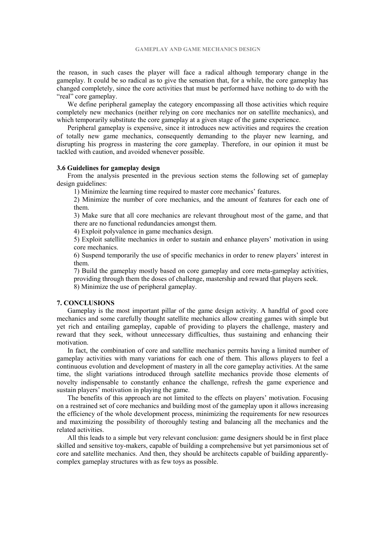the reason, in such cases the player will face a radical although temporary change in the gameplay. It could be so radical as to give the sensation that, for a while, the core gameplay has changed completely, since the core activities that must be performed have nothing to do with the "real" core gameplay.

We define peripheral gameplay the category encompassing all those activities which require completely new mechanics (neither relying on core mechanics nor on satellite mechanics), and which temporarily substitute the core gameplay at a given stage of the game experience.

Peripheral gameplay is expensive, since it introduces new activities and requires the creation of totally new game mechanics, consequently demanding to the player new learning, and disrupting his progress in mastering the core gameplay. Therefore, in our opinion it must be tackled with caution, and avoided whenever possible.

#### **3.6 Guidelines for gameplay design**

From the analysis presented in the previous section stems the following set of gameplay design guidelines:

1) Minimize the learning time required to master core mechanics' features.

2) Minimize the number of core mechanics, and the amount of features for each one of them.

3) Make sure that all core mechanics are relevant throughout most of the game, and that there are no functional redundancies amongst them.

4) Exploit polyvalence in game mechanics design.

5) Exploit satellite mechanics in order to sustain and enhance players' motivation in using core mechanics.

6) Suspend temporarily the use of specific mechanics in order to renew players' interest in them.

7) Build the gameplay mostly based on core gameplay and core meta-gameplay activities, providing through them the doses of challenge, mastership and reward that players seek.

8) Minimize the use of peripheral gameplay.

#### **7. CONCLUSIONS**

Gameplay is the most important pillar of the game design activity. A handful of good core mechanics and some carefully thought satellite mechanics allow creating games with simple but yet rich and entailing gameplay, capable of providing to players the challenge, mastery and reward that they seek, without unnecessary difficulties, thus sustaining and enhancing their motivation.

In fact, the combination of core and satellite mechanics permits having a limited number of gameplay activities with many variations for each one of them. This allows players to feel a continuous evolution and development of mastery in all the core gameplay activities. At the same time, the slight variations introduced through satellite mechanics provide those elements of novelty indispensable to constantly enhance the challenge, refresh the game experience and sustain players' motivation in playing the game.

The benefits of this approach are not limited to the effects on players' motivation. Focusing on a restrained set of core mechanics and building most of the gameplay upon it allows increasing the efficiency of the whole development process, minimizing the requirements for new resources and maximizing the possibility of thoroughly testing and balancing all the mechanics and the related activities.

All this leads to a simple but very relevant conclusion: game designers should be in first place skilled and sensitive toy-makers, capable of building a comprehensive but yet parsimonious set of core and satellite mechanics. And then, they should be architects capable of building apparentlycomplex gameplay structures with as few toys as possible.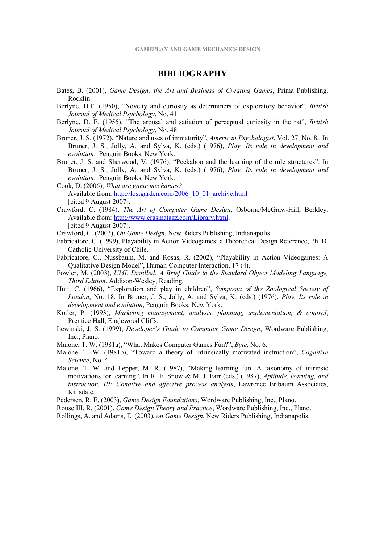# **BIBLIOGRAPHY**

- Bates, B. (2001), *Game Design: the Art and Business of Creating Games*, Prima Publishing, Rocklin.
- Berlyne, D.E. (1950), "Novelty and curiosity as determiners of exploratory behavior", *British Journal of Medical Psychology*, No. 41.
- Berlyne, D. E. (1955), "The arousal and satiation of perceptual curiosity in the rat", *British Journal of Medical Psychology*, No. 48.
- Bruner, J. S. (1972), "Nature and uses of immaturity", *American Psychologist*, Vol. 27, No. 8,. In Bruner, J. S., Jolly, A. and Sylva, K. (eds.) (1976), *Play. Its role in development and evolution*. Penguin Books, New York.
- Bruner, J. S. and Sherwood, V. (1976). "Peekaboo and the learning of the rule structures". In Bruner, J. S., Jolly, A. and Sylva, K. (eds.) (1976), *Play. Its role in development and evolution*. Penguin Books, New York.
- Cook, D. (2006), *What are game mechanics?* Available from: http://lostgarden.com/2006\_10\_01\_archive.html [cited 9 August 2007].
- Crawford, C. (1984), *The Art of Computer Game Design*, Osborne/McGraw-Hill, Berkley. Available from: http://www.erasmatazz.com/Library.html. [cited 9 August 2007].

Crawford, C. (2003), *On Game Design*, New Riders Publishing, Indianapolis.

- Fabricatore, C. (1999), Playability in Action Videogames: a Theoretical Design Reference, Ph. D. Catholic University of Chile.
- Fabricatore, C., Nussbaum, M. and Rosas, R. (2002), "Playability in Action Videogames: A Qualitative Design Model", Human-Computer Interaction, 17 (4).
- Fowler, M. (2003), *UML Distilled: A Brief Guide to the Standard Object Modeling Language, Third Edition*, Addison-Wesley, Reading.
- Hutt, C. (1966), "Exploration and play in children", *Symposia of the Zoological Society of London*, No. 18. In Bruner, J. S., Jolly, A. and Sylva, K. (eds.) (1976), *Play. Its role in development and evolution*, Penguin Books, New York.
- Kotler, P. (1993), *Marketing management, analysis, planning, implementation, & control*, Prentice Hall, Englewood Cliffs.
- Lewinski, J. S. (1999), *Developer's Guide to Computer Game Design*, Wordware Publishing, Inc., Plano.
- Malone, T. W. (1981a), "What Makes Computer Games Fun?", *Byte*, No. 6.
- Malone, T. W. (1981b), "Toward a theory of intrinsically motivated instruction", *Cognitive Science*, No. 4.
- Malone, T. W. and Lepper, M. R. (1987), "Making learning fun: A taxonomy of intrinsic motivations for learning". In R. E. Snow & M. J. Farr (eds.) (1987), *Aptitude, learning, and instruction, III: Conative and affective process analysis*, Lawrence Erlbaum Associates, Killsdale.

Pedersen, R. E. (2003), *Game Design Foundations*, Wordware Publishing, Inc., Plano.

Rouse III, R. (2001), *Game Design Theory and Practice*, Wordware Publishing, Inc., Plano.

Rollings, A. and Adams, E. (2003), *on Game Design*, New Riders Publishing, Indianapolis.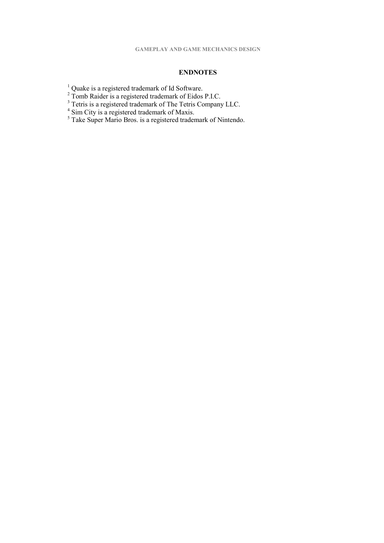# **ENDNOTES**

- 
- <sup>1</sup> Quake is a registered trademark of Id Software.<br>
<sup>2</sup> Tomb Raider is a registered trademark of Eidos P.I.C.<br>
<sup>3</sup> Tetris is a registered trademark of The Tetris Company LLC.<br>
<sup>4</sup> Sim City is a registered trademark of Ma
- 
-